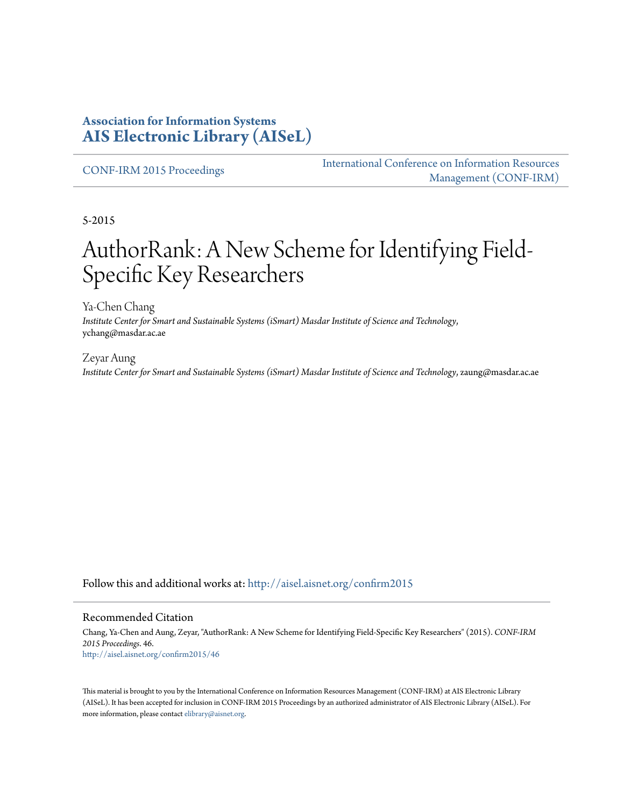## **Association for Information Systems [AIS Electronic Library \(AISeL\)](http://aisel.aisnet.org?utm_source=aisel.aisnet.org%2Fconfirm2015%2F46&utm_medium=PDF&utm_campaign=PDFCoverPages)**

[CONF-IRM 2015 Proceedings](http://aisel.aisnet.org/confirm2015?utm_source=aisel.aisnet.org%2Fconfirm2015%2F46&utm_medium=PDF&utm_campaign=PDFCoverPages)

[International Conference on Information Resources](http://aisel.aisnet.org/conf-irm?utm_source=aisel.aisnet.org%2Fconfirm2015%2F46&utm_medium=PDF&utm_campaign=PDFCoverPages) [Management \(CONF-IRM\)](http://aisel.aisnet.org/conf-irm?utm_source=aisel.aisnet.org%2Fconfirm2015%2F46&utm_medium=PDF&utm_campaign=PDFCoverPages)

5-2015

# AuthorRank: A New Scheme for Identifying Field-Specific Key Researchers

Ya-Chen Chang *Institute Center for Smart and Sustainable Systems (iSmart) Masdar Institute of Science and Technology*, ychang@masdar.ac.ae

Zeyar Aung *Institute Center for Smart and Sustainable Systems (iSmart) Masdar Institute of Science and Technology*, zaung@masdar.ac.ae

Follow this and additional works at: [http://aisel.aisnet.org/confirm2015](http://aisel.aisnet.org/confirm2015?utm_source=aisel.aisnet.org%2Fconfirm2015%2F46&utm_medium=PDF&utm_campaign=PDFCoverPages)

#### Recommended Citation

Chang, Ya-Chen and Aung, Zeyar, "AuthorRank: A New Scheme for Identifying Field-Specific Key Researchers" (2015). *CONF-IRM 2015 Proceedings*. 46. [http://aisel.aisnet.org/confirm2015/46](http://aisel.aisnet.org/confirm2015/46?utm_source=aisel.aisnet.org%2Fconfirm2015%2F46&utm_medium=PDF&utm_campaign=PDFCoverPages)

This material is brought to you by the International Conference on Information Resources Management (CONF-IRM) at AIS Electronic Library (AISeL). It has been accepted for inclusion in CONF-IRM 2015 Proceedings by an authorized administrator of AIS Electronic Library (AISeL). For more information, please contact [elibrary@aisnet.org.](mailto:elibrary@aisnet.org%3E)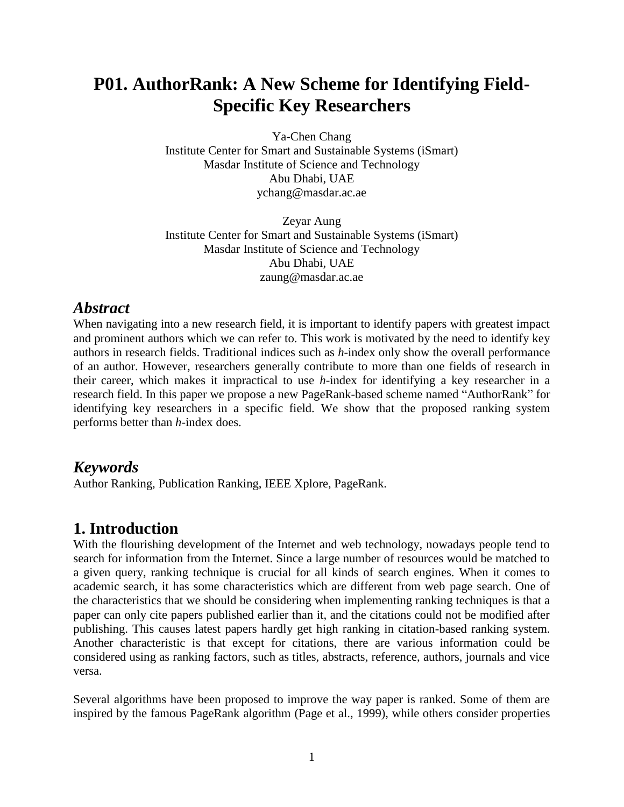# **P01. AuthorRank: A New Scheme for Identifying Field-Specific Key Researchers**

Ya-Chen Chang Institute Center for Smart and Sustainable Systems (iSmart) Masdar Institute of Science and Technology Abu Dhabi, UAE ychang@masdar.ac.ae

Zeyar Aung Institute Center for Smart and Sustainable Systems (iSmart) Masdar Institute of Science and Technology Abu Dhabi, UAE zaung@masdar.ac.ae

### *Abstract*

When navigating into a new research field, it is important to identify papers with greatest impact and prominent authors which we can refer to. This work is motivated by the need to identify key authors in research fields. Traditional indices such as *h*-index only show the overall performance of an author. However, researchers generally contribute to more than one fields of research in their career, which makes it impractical to use *h*-index for identifying a key researcher in a research field. In this paper we propose a new PageRank-based scheme named "AuthorRank" for identifying key researchers in a specific field. We show that the proposed ranking system performs better than *h*-index does.

### *Keywords*

Author Ranking, Publication Ranking, IEEE Xplore, PageRank.

# **1. Introduction**

With the flourishing development of the Internet and web technology, nowadays people tend to search for information from the Internet. Since a large number of resources would be matched to a given query, ranking technique is crucial for all kinds of search engines. When it comes to academic search, it has some characteristics which are different from web page search. One of the characteristics that we should be considering when implementing ranking techniques is that a paper can only cite papers published earlier than it, and the citations could not be modified after publishing. This causes latest papers hardly get high ranking in citation-based ranking system. Another characteristic is that except for citations, there are various information could be considered using as ranking factors, such as titles, abstracts, reference, authors, journals and vice versa.

Several algorithms have been proposed to improve the way paper is ranked. Some of them are inspired by the famous PageRank algorithm (Page et al., 1999), while others consider properties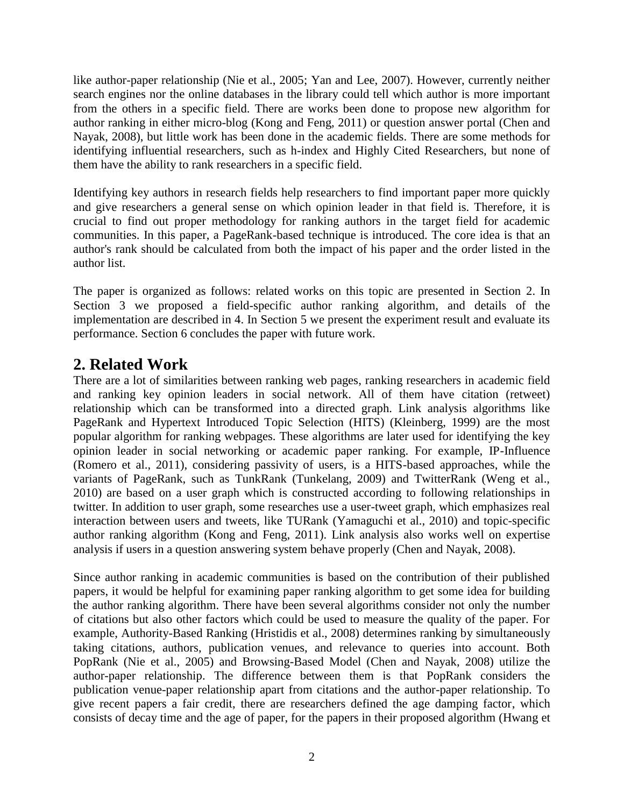like author-paper relationship (Nie et al., 2005; Yan and Lee, 2007). However, currently neither search engines nor the online databases in the library could tell which author is more important from the others in a specific field. There are works been done to propose new algorithm for author ranking in either micro-blog (Kong and Feng, 2011) or question answer portal (Chen and Nayak, 2008), but little work has been done in the academic fields. There are some methods for identifying influential researchers, such as h-index and Highly Cited Researchers, but none of them have the ability to rank researchers in a specific field.

Identifying key authors in research fields help researchers to find important paper more quickly and give researchers a general sense on which opinion leader in that field is. Therefore, it is crucial to find out proper methodology for ranking authors in the target field for academic communities. In this paper, a PageRank-based technique is introduced. The core idea is that an author's rank should be calculated from both the impact of his paper and the order listed in the author list.

The paper is organized as follows: related works on this topic are presented in Section 2. In Section 3 we proposed a field-specific author ranking algorithm, and details of the implementation are described in 4. In Section 5 we present the experiment result and evaluate its performance. Section 6 concludes the paper with future work.

# **2. Related Work**

There are a lot of similarities between ranking web pages, ranking researchers in academic field and ranking key opinion leaders in social network. All of them have citation (retweet) relationship which can be transformed into a directed graph. Link analysis algorithms like PageRank and Hypertext Introduced Topic Selection (HITS) (Kleinberg, 1999) are the most popular algorithm for ranking webpages. These algorithms are later used for identifying the key opinion leader in social networking or academic paper ranking. For example, IP-Influence (Romero et al., 2011), considering passivity of users, is a HITS-based approaches, while the variants of PageRank, such as TunkRank (Tunkelang, 2009) and TwitterRank (Weng et al., 2010) are based on a user graph which is constructed according to following relationships in twitter. In addition to user graph, some researches use a user-tweet graph, which emphasizes real interaction between users and tweets, like TURank (Yamaguchi et al., 2010) and topic-specific author ranking algorithm (Kong and Feng, 2011). Link analysis also works well on expertise analysis if users in a question answering system behave properly (Chen and Nayak, 2008).

Since author ranking in academic communities is based on the contribution of their published papers, it would be helpful for examining paper ranking algorithm to get some idea for building the author ranking algorithm. There have been several algorithms consider not only the number of citations but also other factors which could be used to measure the quality of the paper. For example, Authority-Based Ranking (Hristidis et al., 2008) determines ranking by simultaneously taking citations, authors, publication venues, and relevance to queries into account. Both PopRank (Nie et al., 2005) and Browsing-Based Model (Chen and Nayak, 2008) utilize the author-paper relationship. The difference between them is that PopRank considers the publication venue-paper relationship apart from citations and the author-paper relationship. To give recent papers a fair credit, there are researchers defined the age damping factor, which consists of decay time and the age of paper, for the papers in their proposed algorithm (Hwang et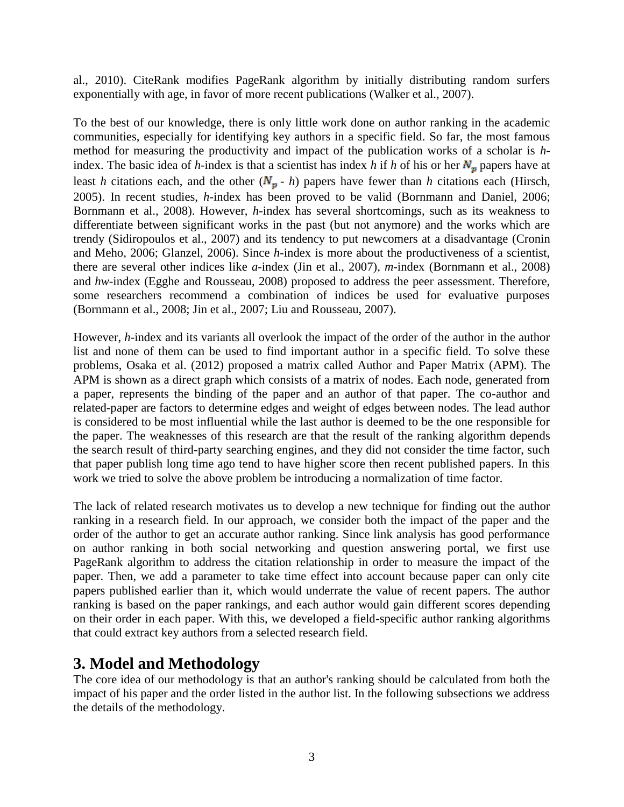al., 2010). CiteRank modifies PageRank algorithm by initially distributing random surfers exponentially with age, in favor of more recent publications (Walker et al., 2007).

To the best of our knowledge, there is only little work done on author ranking in the academic communities, especially for identifying key authors in a specific field. So far, the most famous method for measuring the productivity and impact of the publication works of a scholar is *h*index. The basic idea of *h*-index is that a scientist has index *h* if *h* of his or her  $N_p$  papers have at least *h* citations each, and the other  $(N_p - h)$  papers have fewer than *h* citations each (Hirsch, 2005). In recent studies, *h*-index has been proved to be valid (Bornmann and Daniel, 2006; Bornmann et al., 2008). However, *h*-index has several shortcomings, such as its weakness to differentiate between significant works in the past (but not anymore) and the works which are trendy (Sidiropoulos et al., 2007) and its tendency to put newcomers at a disadvantage (Cronin and Meho, 2006; Glanzel, 2006). Since *h*-index is more about the productiveness of a scientist, there are several other indices like *a*-index (Jin et al., 2007), *m*-index (Bornmann et al., 2008) and *hw*-index (Egghe and Rousseau, 2008) proposed to address the peer assessment. Therefore, some researchers recommend a combination of indices be used for evaluative purposes (Bornmann et al., 2008; Jin et al., 2007; Liu and Rousseau, 2007).

However, *h*-index and its variants all overlook the impact of the order of the author in the author list and none of them can be used to find important author in a specific field. To solve these problems, Osaka et al. (2012) proposed a matrix called Author and Paper Matrix (APM). The APM is shown as a direct graph which consists of a matrix of nodes. Each node, generated from a paper, represents the binding of the paper and an author of that paper. The co-author and related-paper are factors to determine edges and weight of edges between nodes. The lead author is considered to be most influential while the last author is deemed to be the one responsible for the paper. The weaknesses of this research are that the result of the ranking algorithm depends the search result of third-party searching engines, and they did not consider the time factor, such that paper publish long time ago tend to have higher score then recent published papers. In this work we tried to solve the above problem be introducing a normalization of time factor.

The lack of related research motivates us to develop a new technique for finding out the author ranking in a research field. In our approach, we consider both the impact of the paper and the order of the author to get an accurate author ranking. Since link analysis has good performance on author ranking in both social networking and question answering portal, we first use PageRank algorithm to address the citation relationship in order to measure the impact of the paper. Then, we add a parameter to take time effect into account because paper can only cite papers published earlier than it, which would underrate the value of recent papers. The author ranking is based on the paper rankings, and each author would gain different scores depending on their order in each paper. With this, we developed a field-specific author ranking algorithms that could extract key authors from a selected research field.

# **3. Model and Methodology**

The core idea of our methodology is that an author's ranking should be calculated from both the impact of his paper and the order listed in the author list. In the following subsections we address the details of the methodology.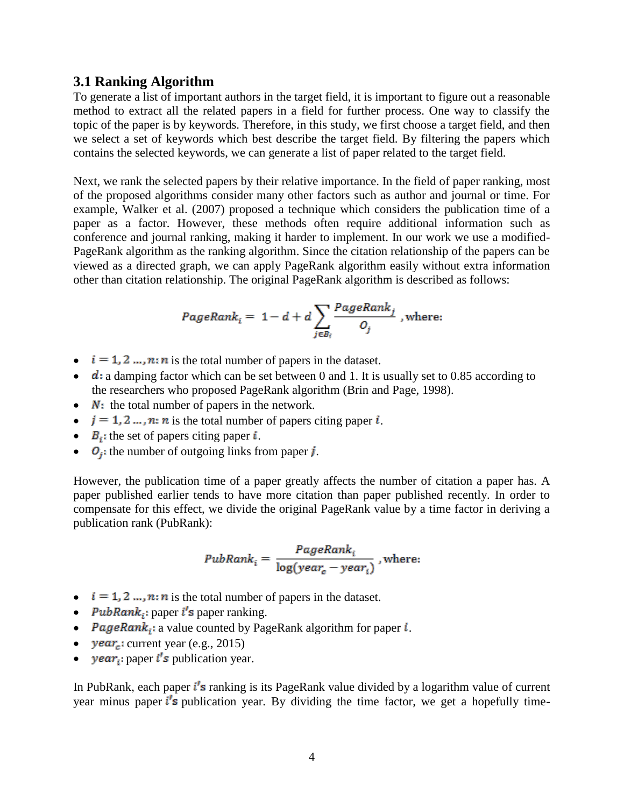#### **3.1 Ranking Algorithm**

To generate a list of important authors in the target field, it is important to figure out a reasonable method to extract all the related papers in a field for further process. One way to classify the topic of the paper is by keywords. Therefore, in this study, we first choose a target field, and then we select a set of keywords which best describe the target field. By filtering the papers which contains the selected keywords, we can generate a list of paper related to the target field.

Next, we rank the selected papers by their relative importance. In the field of paper ranking, most of the proposed algorithms consider many other factors such as author and journal or time. For example, Walker et al. (2007) proposed a technique which considers the publication time of a paper as a factor. However, these methods often require additional information such as conference and journal ranking, making it harder to implement. In our work we use a modified-PageRank algorithm as the ranking algorithm. Since the citation relationship of the papers can be viewed as a directed graph, we can apply PageRank algorithm easily without extra information other than citation relationship. The original PageRank algorithm is described as follows:

PageRank<sub>i</sub> = 1-d + 
$$
d \sum_{j \in B_i} \frac{PageRank_j}{O_j}
$$
, where:

- $i = 1, 2, ..., n$ : *n* is the total number of papers in the dataset.
- $\bullet$  d: a damping factor which can be set between 0 and 1. It is usually set to 0.85 according to the researchers who proposed PageRank algorithm (Brin and Page, 1998).
- $\bullet$   $N:$  the total number of papers in the network.
- $\bullet$   $j = 1, 2, ..., n$ : *n* is the total number of papers citing paper *i*.
- $\bullet$   $B_i$ : the set of papers citing paper *i*.
- $\bullet$   $O_i$ : the number of outgoing links from paper *j*.

However, the publication time of a paper greatly affects the number of citation a paper has. A paper published earlier tends to have more citation than paper published recently. In order to compensate for this effect, we divide the original PageRank value by a time factor in deriving a publication rank (PubRank):

$$
PubRank_i = \frac{PageRank_i}{\log(year_c - year_i)}
$$
, where:

- $i = 1, 2, ..., n$ : *n* is the total number of papers in the dataset.
- PubRank<sub>i</sub>: paper  $i$ 's paper ranking.
- PageRank<sub>i</sub>: a value counted by PageRank algorithm for paper  $i$ .
- $year_c$ : current year (e.g., 2015)
- year<sub>i</sub>: paper  $i's$  publication year.

In PubRank, each paper  $i^{\prime}$ s ranking is its PageRank value divided by a logarithm value of current year minus paper  $i^{\prime}$ s publication year. By dividing the time factor, we get a hopefully time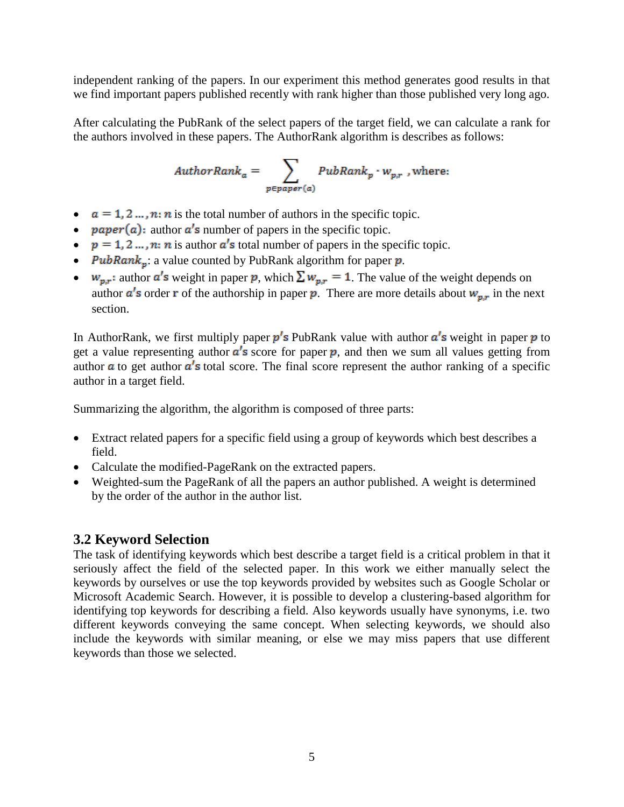independent ranking of the papers. In our experiment this method generates good results in that we find important papers published recently with rank higher than those published very long ago.

After calculating the PubRank of the select papers of the target field, we can calculate a rank for the authors involved in these papers. The AuthorRank algorithm is describes as follows:

$$
AuthorRank_a = \sum_{p \in paper(a)} PubRank_p \cdot w_{p,r} \text{ , where: }
$$

- $a = 1, 2, ..., n$ : *n* is the total number of authors in the specific topic.
- $paper(a)$ : author  $a's$  number of papers in the specific topic.
- $p = 1, 2, ..., n$ : *n* is author  $a'$  is total number of papers in the specific topic.
- *PubRank*<sub>p</sub>: a value counted by PubRank algorithm for paper  $p$ .
- $w_{p,r}$ : author  $a^r s$  weight in paper p, which  $\sum w_{p,r} = 1$ . The value of the weight depends on author  $a'$ s order **r** of the authorship in paper **p**. There are more details about  $w_{p,r}$  in the next section.

In AuthorRank, we first multiply paper  $p'$ s PubRank value with author  $a'$ s weight in paper p to get a value representing author  $a^{\prime}$ s score for paper p, and then we sum all values getting from author  $\alpha$  to get author  $\alpha'$ s total score. The final score represent the author ranking of a specific author in a target field.

Summarizing the algorithm, the algorithm is composed of three parts:

- Extract related papers for a specific field using a group of keywords which best describes a field.
- Calculate the modified-PageRank on the extracted papers.
- Weighted-sum the PageRank of all the papers an author published. A weight is determined by the order of the author in the author list.

### **3.2 Keyword Selection**

The task of identifying keywords which best describe a target field is a critical problem in that it seriously affect the field of the selected paper. In this work we either manually select the keywords by ourselves or use the top keywords provided by websites such as Google Scholar or Microsoft Academic Search. However, it is possible to develop a clustering-based algorithm for identifying top keywords for describing a field. Also keywords usually have synonyms, i.e. two different keywords conveying the same concept. When selecting keywords, we should also include the keywords with similar meaning, or else we may miss papers that use different keywords than those we selected.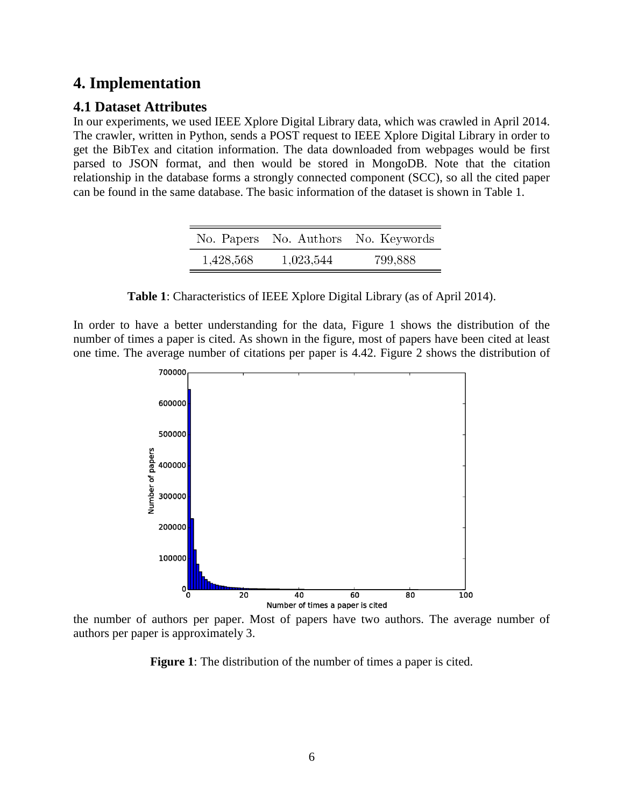# **4. Implementation**

### **4.1 Dataset Attributes**

In our experiments, we used IEEE Xplore Digital Library data, which was crawled in April 2014. The crawler, written in Python, sends a POST request to IEEE Xplore Digital Library in order to get the BibTex and citation information. The data downloaded from webpages would be first parsed to JSON format, and then would be stored in MongoDB. Note that the citation relationship in the database forms a strongly connected component (SCC), so all the cited paper can be found in the same database. The basic information of the dataset is shown in Table 1.

|           |           | No. Papers No. Authors No. Keywords |
|-----------|-----------|-------------------------------------|
| 1,428,568 | 1,023,544 | 799,888                             |

**Table 1**: Characteristics of IEEE Xplore Digital Library (as of April 2014).

In order to have a better understanding for the data, Figure 1 shows the distribution of the number of times a paper is cited. As shown in the figure, most of papers have been cited at least one time. The average number of citations per paper is 4.42. Figure 2 shows the distribution of



the number of authors per paper. Most of papers have two authors. The average number of authors per paper is approximately 3.

**Figure 1**: The distribution of the number of times a paper is cited.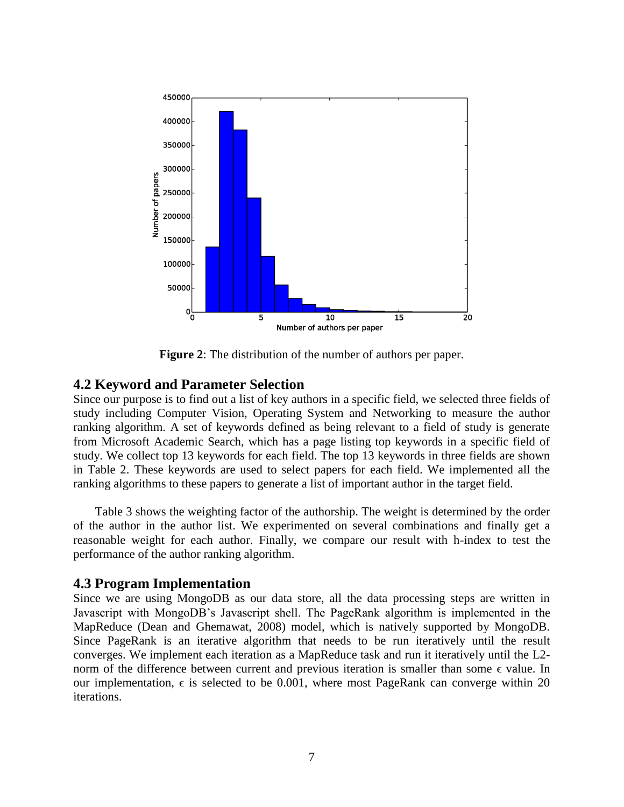

**Figure 2**: The distribution of the number of authors per paper.

#### **4.2 Keyword and Parameter Selection**

Since our purpose is to find out a list of key authors in a specific field, we selected three fields of study including Computer Vision, Operating System and Networking to measure the author ranking algorithm. A set of keywords defined as being relevant to a field of study is generate from Microsoft Academic Search, which has a page listing top keywords in a specific field of study. We collect top 13 keywords for each field. The top 13 keywords in three fields are shown in Table 2. These keywords are used to select papers for each field. We implemented all the ranking algorithms to these papers to generate a list of important author in the target field.

Table 3 shows the weighting factor of the authorship. The weight is determined by the order of the author in the author list. We experimented on several combinations and finally get a reasonable weight for each author. Finally, we compare our result with h-index to test the performance of the author ranking algorithm.

#### **4.3 Program Implementation**

Since we are using MongoDB as our data store, all the data processing steps are written in Javascript with MongoDB's Javascript shell. The PageRank algorithm is implemented in the MapReduce (Dean and Ghemawat, 2008) model, which is natively supported by MongoDB. Since PageRank is an iterative algorithm that needs to be run iteratively until the result converges. We implement each iteration as a MapReduce task and run it iteratively until the L2 norm of the difference between current and previous iteration is smaller than some  $\epsilon$  value. In our implementation,  $\epsilon$  is selected to be 0.001, where most PageRank can converge within 20 iterations.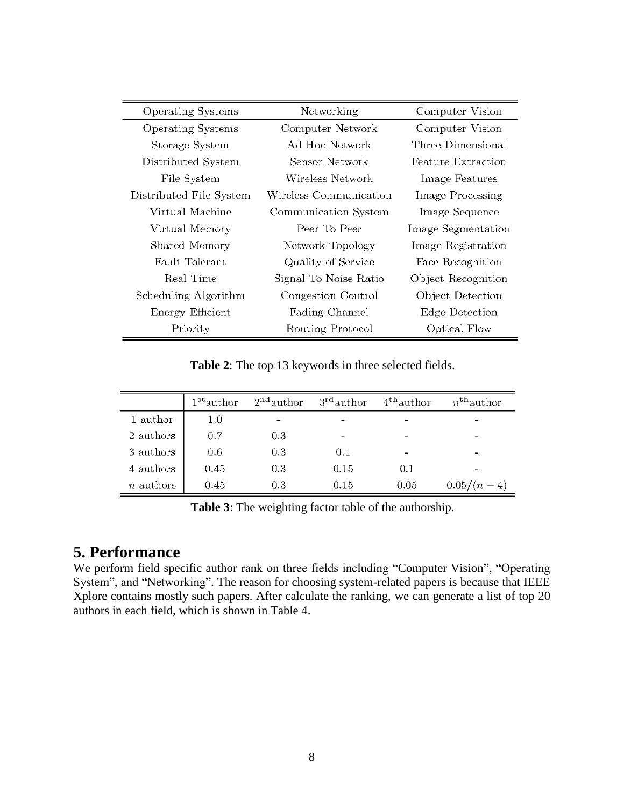| <b>Operating Systems</b> | Networking             | Computer Vision    |
|--------------------------|------------------------|--------------------|
| <b>Operating Systems</b> | Computer Network       | Computer Vision    |
| Storage System           | Ad Hoc Network         | Three Dimensional  |
| Distributed System       | Sensor Network         | Feature Extraction |
| File System              | Wireless Network       | Image Features     |
| Distributed File System  | Wireless Communication | Image Processing   |
| Virtual Machine          | Communication System   | Image Sequence     |
| Virtual Memory           | Peer To Peer           | Image Segmentation |
| Shared Memory            | Network Topology       | Image Registration |
| Fault Tolerant           | Quality of Service     | Face Recognition   |
| Real Time                | Signal To Noise Ratio  | Object Recognition |
| Scheduling Algorithm     | Congestion Control     | Object Detection   |
| Energy Efficient         | Fading Channel         | Edge Detection     |
| Priority                 | Routing Protocol       | Optical Flow       |

**Table 2**: The top 13 keywords in three selected fields.

|                  | $1st$ author | $2nd$ author | $3rd$ author | $4^{\text{th}}$ author | $n^{\text{th}}$ author |
|------------------|--------------|--------------|--------------|------------------------|------------------------|
| 1 author         | 1.0          |              |              |                        |                        |
| 2 authors        | 0.7          | 0.3          |              |                        |                        |
| 3 authors        | 0.6          | 0.3          | 0.1          |                        |                        |
| 4 authors        | 0.45         | 0.3          | 0.15         | 0.1                    |                        |
| <i>n</i> authors | 0.45         | 0.3          | 0.15         | 0.05                   | $0.05/(n-4)$           |

**Table 3**: The weighting factor table of the authorship.

# **5. Performance**

We perform field specific author rank on three fields including "Computer Vision", "Operating System", and "Networking". The reason for choosing system-related papers is because that IEEE Xplore contains mostly such papers. After calculate the ranking, we can generate a list of top 20 authors in each field, which is shown in Table 4.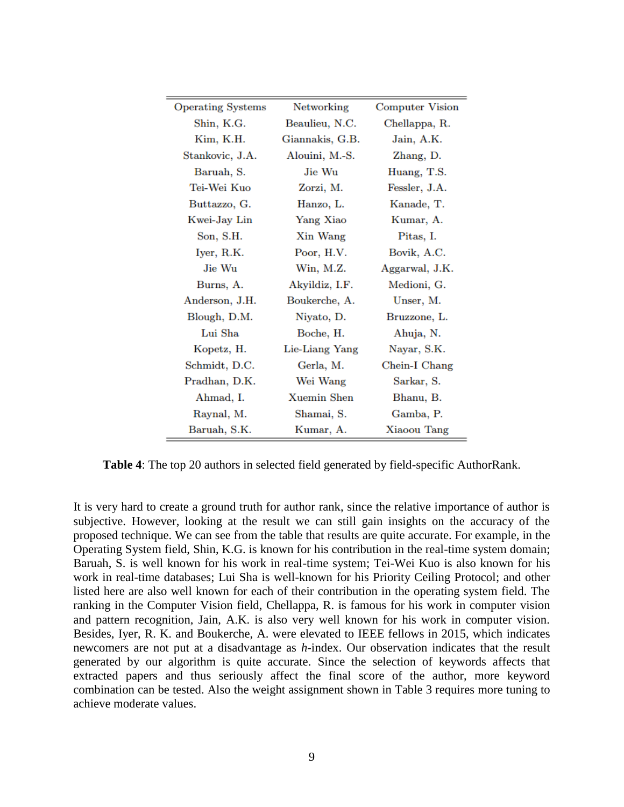| <b>Operating Systems</b> | Networking      | <b>Computer Vision</b> |
|--------------------------|-----------------|------------------------|
| Shin, K.G.               | Beaulieu, N.C.  | Chellappa, R.          |
| Kim, K.H.                | Giannakis, G.B. | Jain, A.K.             |
| Stankovic, J.A.          | Alouini, M.-S.  | Zhang, D.              |
| Baruah, S.               | Jie Wu          | Huang, T.S.            |
| Tei-Wei Kuo              | Zorzi, M.       | Fessler, J.A.          |
| Buttazzo, G.             | Hanzo, L.       | Kanade, T.             |
| Kwei-Jay Lin             | Yang Xiao       | Kumar, A.              |
| Son, S.H.                | Xin Wang        | Pitas, I.              |
| Iyer, R.K.               | Poor, H.V.      | Bovik, A.C.            |
| Jie Wu                   | Win, M.Z.       | Aggarwal, J.K.         |
| Burns, A.                | Akyildiz, I.F.  | Medioni, G.            |
| Anderson, J.H.           | Boukerche, A.   | Unser, M.              |
| Blough, D.M.             | Niyato, D.      | Bruzzone, L.           |
| Lui Sha                  | Boche, H.       | Ahuja, N.              |
| Kopetz, H.               | Lie-Liang Yang  | Nayar, S.K.            |
| Schmidt, D.C.            | Gerla, M.       | Chein-I Chang          |
| Pradhan, D.K.            | Wei Wang        | Sarkar, S.             |
| Ahmad, I.                | Xuemin Shen     | Bhanu, B.              |
| Raynal, M.               | Shamai, S.      | Gamba, P.              |
| Baruah, S.K.             | Kumar, A.       | Xiaoou Tang            |

**Table 4**: The top 20 authors in selected field generated by field-specific AuthorRank.

It is very hard to create a ground truth for author rank, since the relative importance of author is subjective. However, looking at the result we can still gain insights on the accuracy of the proposed technique. We can see from the table that results are quite accurate. For example, in the Operating System field, Shin, K.G. is known for his contribution in the real-time system domain; Baruah, S. is well known for his work in real-time system; Tei-Wei Kuo is also known for his work in real-time databases; Lui Sha is well-known for his Priority Ceiling Protocol; and other listed here are also well known for each of their contribution in the operating system field. The ranking in the Computer Vision field, Chellappa, R. is famous for his work in computer vision and pattern recognition, Jain, A.K. is also very well known for his work in computer vision. Besides, Iyer, R. K. and Boukerche, A. were elevated to IEEE fellows in 2015, which indicates newcomers are not put at a disadvantage as *h*-index. Our observation indicates that the result generated by our algorithm is quite accurate. Since the selection of keywords affects that extracted papers and thus seriously affect the final score of the author, more keyword combination can be tested. Also the weight assignment shown in Table 3 requires more tuning to achieve moderate values.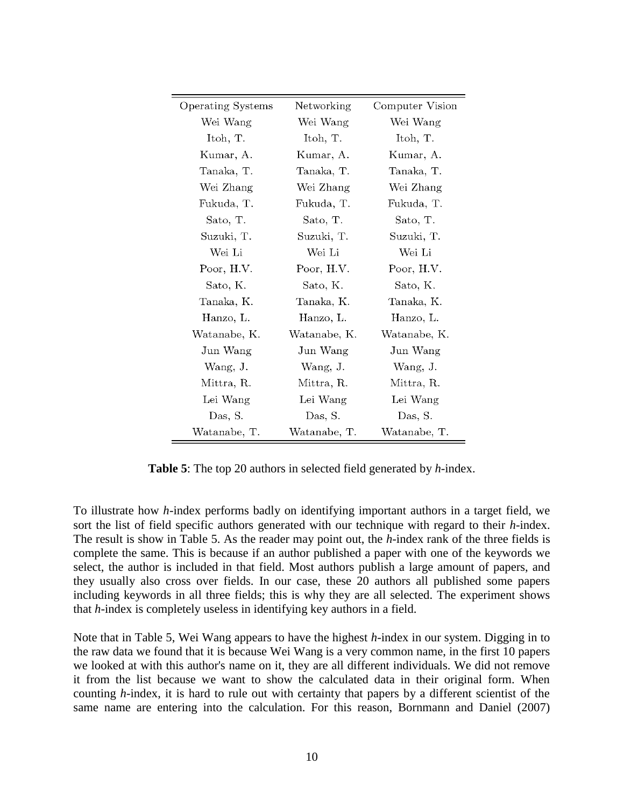| Operating Systems | Networking   | Computer Vision |
|-------------------|--------------|-----------------|
| Wei Wang          | Wei Wang     | Wei Wang        |
| Itoh, T.          | Itoh, T.     | Itoh, T.        |
| Kumar, A.         | Kumar, A.    | Kumar, A.       |
| Tanaka, T.        | Tanaka, T.   | Tanaka, T.      |
| Wei Zhang         | Wei Zhang    | Wei Zhang       |
| Fukuda, T.        | Fukuda, T.   | Fukuda, T.      |
| Sato, T.          | Sato, T.     | Sato, T.        |
| Suzuki, T.        | Suzuki, T.   | Suzuki, T.      |
| Wei Li            | Wei Li       | Wei Li          |
| Poor, H.V.        | Poor, H.V.   | Poor, H.V.      |
| Sato, K.          | Sato, K.     | Sato, K.        |
| Tanaka, K.        | Tanaka, K.   | Tanaka, K.      |
| Hanzo, L.         | Hanzo, L.    | Hanzo, L.       |
| Watanabe, K.      | Watanabe, K. | Watanabe, K.    |
| Jun Wang          | Jun Wang     | Jun Wang        |
| Wang, J.          | Wang, J.     | Wang, J.        |
| Mittra, R.        | Mittra, R.   | Mittra, R.      |
| Lei Wang          | Lei Wang     | Lei Wang        |
| Das, S.           | Das, S.      | Das, S.         |
| Watanabe, T.      | Watanabe, T. | Watanabe, T.    |

**Table 5**: The top 20 authors in selected field generated by *h*-index.

To illustrate how *h*-index performs badly on identifying important authors in a target field, we sort the list of field specific authors generated with our technique with regard to their *h*-index. The result is show in Table 5. As the reader may point out, the *h*-index rank of the three fields is complete the same. This is because if an author published a paper with one of the keywords we select, the author is included in that field. Most authors publish a large amount of papers, and they usually also cross over fields. In our case, these 20 authors all published some papers including keywords in all three fields; this is why they are all selected. The experiment shows that *h*-index is completely useless in identifying key authors in a field.

Note that in Table 5, Wei Wang appears to have the highest *h*-index in our system. Digging in to the raw data we found that it is because Wei Wang is a very common name, in the first 10 papers we looked at with this author's name on it, they are all different individuals. We did not remove it from the list because we want to show the calculated data in their original form. When counting *h*-index, it is hard to rule out with certainty that papers by a different scientist of the same name are entering into the calculation. For this reason, Bornmann and Daniel (2007)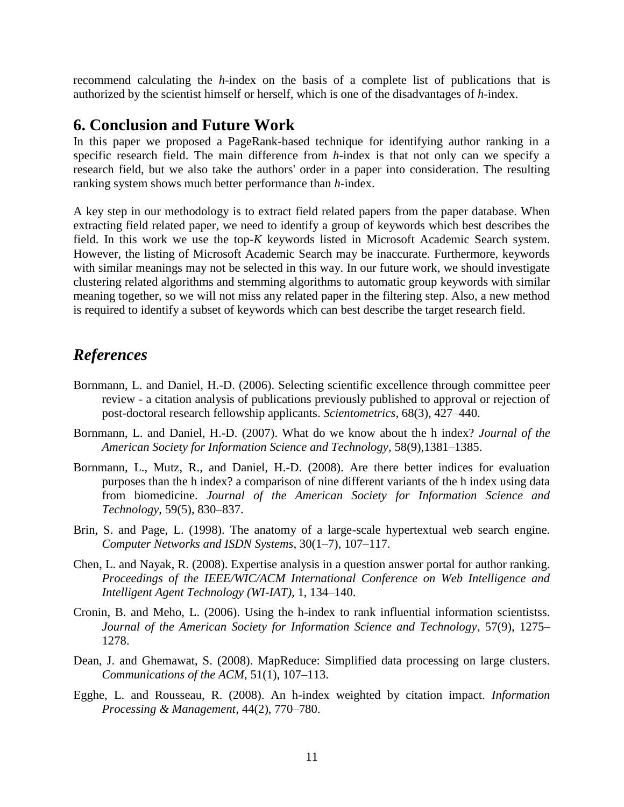recommend calculating the *h*-index on the basis of a complete list of publications that is authorized by the scientist himself or herself, which is one of the disadvantages of *h*-index.

### **6. Conclusion and Future Work**

In this paper we proposed a PageRank-based technique for identifying author ranking in a specific research field. The main difference from *h*-index is that not only can we specify a research field, but we also take the authors' order in a paper into consideration. The resulting ranking system shows much better performance than *h*-index.

A key step in our methodology is to extract field related papers from the paper database. When extracting field related paper, we need to identify a group of keywords which best describes the field. In this work we use the top-*K* keywords listed in Microsoft Academic Search system. However, the listing of Microsoft Academic Search may be inaccurate. Furthermore, keywords with similar meanings may not be selected in this way. In our future work, we should investigate clustering related algorithms and stemming algorithms to automatic group keywords with similar meaning together, so we will not miss any related paper in the filtering step. Also, a new method is required to identify a subset of keywords which can best describe the target research field.

# *References*

- Bornmann, L. and Daniel, H.-D. (2006). Selecting scientific excellence through committee peer review - a citation analysis of publications previously published to approval or rejection of post-doctoral research fellowship applicants. *Scientometrics*, 68(3), 427–440.
- Bornmann, L. and Daniel, H.-D. (2007). What do we know about the h index? *Journal of the American Society for Information Science and Technology*, 58(9),1381–1385.
- Bornmann, L., Mutz, R., and Daniel, H.-D. (2008). Are there better indices for evaluation purposes than the h index? a comparison of nine different variants of the h index using data from biomedicine. *Journal of the American Society for Information Science and Technology*, 59(5), 830–837.
- Brin, S. and Page, L. (1998). The anatomy of a large-scale hypertextual web search engine. *Computer Networks and ISDN Systems*, 30(1–7), 107–117.
- Chen, L. and Nayak, R. (2008). Expertise analysis in a question answer portal for author ranking. *Proceedings of the IEEE/WIC/ACM International Conference on Web Intelligence and Intelligent Agent Technology (WI-IAT)*, 1, 134–140.
- Cronin, B. and Meho, L. (2006). Using the h-index to rank influential information scientistss. *Journal of the American Society for Information Science and Technology*, 57(9), 1275– 1278.
- Dean, J. and Ghemawat, S. (2008). MapReduce: Simplified data processing on large clusters. *Communications of the ACM*, 51(1), 107–113.
- Egghe, L. and Rousseau, R. (2008). An h-index weighted by citation impact. *Information Processing & Management*, 44(2), 770–780.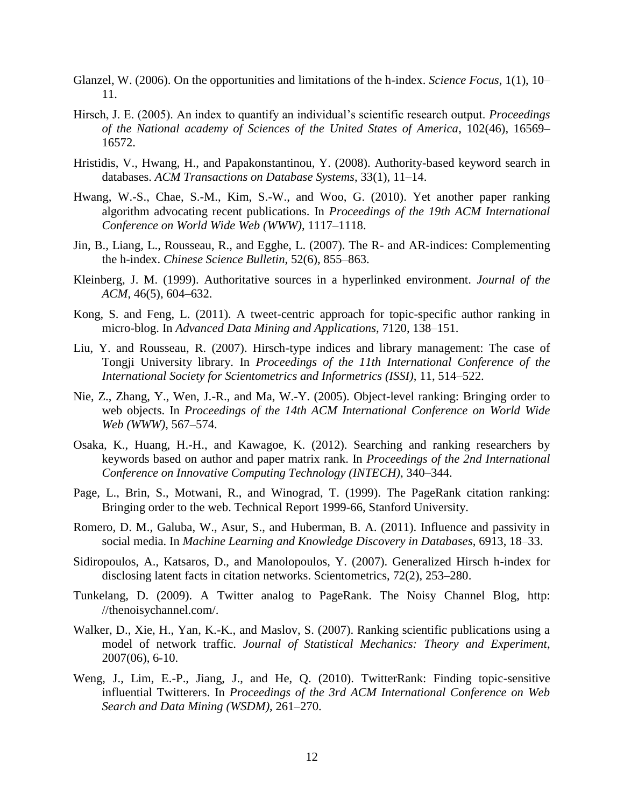- Glanzel, W. (2006). On the opportunities and limitations of the h-index. *Science Focus*, 1(1), 10– 11.
- Hirsch, J. E. (2005). An index to quantify an individual's scientific research output. *Proceedings of the National academy of Sciences of the United States of America*, 102(46), 16569– 16572.
- Hristidis, V., Hwang, H., and Papakonstantinou, Y. (2008). Authority-based keyword search in databases. *ACM Transactions on Database Systems*, 33(1), 11–14.
- Hwang, W.-S., Chae, S.-M., Kim, S.-W., and Woo, G. (2010). Yet another paper ranking algorithm advocating recent publications. In *Proceedings of the 19th ACM International Conference on World Wide Web (WWW)*, 1117–1118.
- Jin, B., Liang, L., Rousseau, R., and Egghe, L. (2007). The R- and AR-indices: Complementing the h-index. *Chinese Science Bulletin*, 52(6), 855–863.
- Kleinberg, J. M. (1999). Authoritative sources in a hyperlinked environment. *Journal of the ACM*, 46(5), 604–632.
- Kong, S. and Feng, L. (2011). A tweet-centric approach for topic-specific author ranking in micro-blog. In *Advanced Data Mining and Applications,* 7120, 138–151.
- Liu, Y. and Rousseau, R. (2007). Hirsch-type indices and library management: The case of Tongji University library. In *Proceedings of the 11th International Conference of the International Society for Scientometrics and Informetrics (ISSI)*, 11, 514–522.
- Nie, Z., Zhang, Y., Wen, J.-R., and Ma, W.-Y. (2005). Object-level ranking: Bringing order to web objects. In *Proceedings of the 14th ACM International Conference on World Wide Web (WWW)*, 567–574.
- Osaka, K., Huang, H.-H., and Kawagoe, K. (2012). Searching and ranking researchers by keywords based on author and paper matrix rank. In *Proceedings of the 2nd International Conference on Innovative Computing Technology (INTECH)*, 340–344.
- Page, L., Brin, S., Motwani, R., and Winograd, T. (1999). The PageRank citation ranking: Bringing order to the web. Technical Report 1999-66, Stanford University.
- Romero, D. M., Galuba, W., Asur, S., and Huberman, B. A. (2011). Influence and passivity in social media. In *Machine Learning and Knowledge Discovery in Databases*, 6913, 18–33.
- Sidiropoulos, A., Katsaros, D., and Manolopoulos, Y. (2007). Generalized Hirsch h-index for disclosing latent facts in citation networks. Scientometrics, 72(2), 253–280.
- Tunkelang, D. (2009). A Twitter analog to PageRank. The Noisy Channel Blog, http: //thenoisychannel.com/.
- Walker, D., Xie, H., Yan, K.-K., and Maslov, S. (2007). Ranking scientific publications using a model of network traffic. *Journal of Statistical Mechanics: Theory and Experiment*, 2007(06), 6-10.
- Weng, J., Lim, E.-P., Jiang, J., and He, Q. (2010). TwitterRank: Finding topic-sensitive influential Twitterers. In *Proceedings of the 3rd ACM International Conference on Web Search and Data Mining (WSDM)*, 261–270.